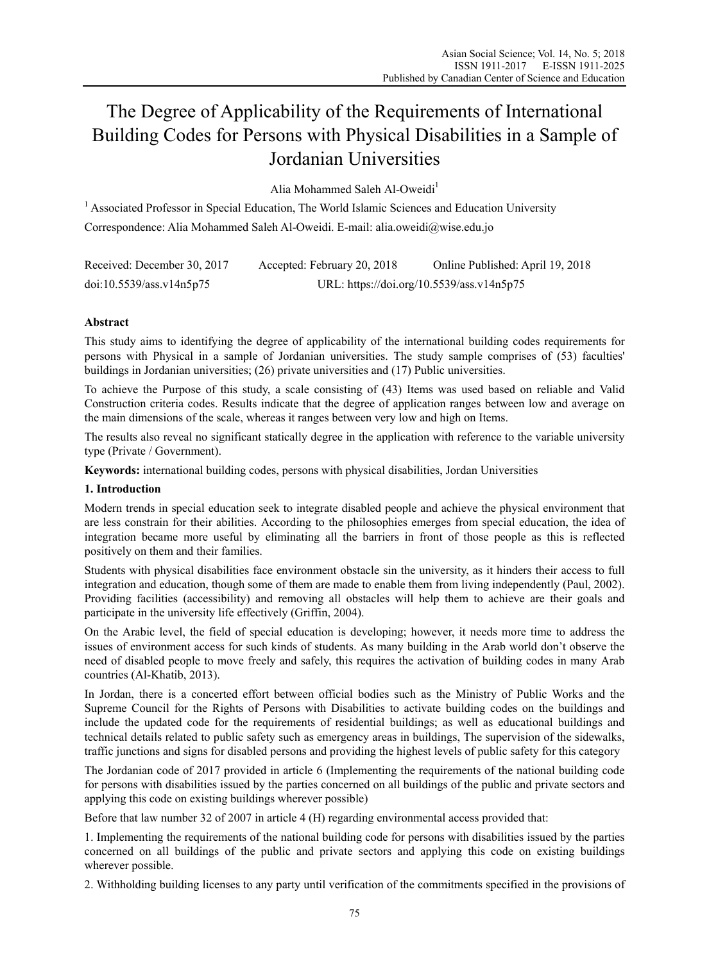# The Degree of Applicability of the Requirements of International Building Codes for Persons with Physical Disabilities in a Sample of Jordanian Universities

Alia Mohammed Saleh Al-Oweidi<sup>1</sup>

<sup>1</sup> Associated Professor in Special Education, The World Islamic Sciences and Education University Correspondence: Alia Mohammed Saleh Al-Oweidi. E-mail: alia.oweidi@wise.edu.jo

| Received: December 30, 2017 | Accepted: February 20, 2018 | Online Published: April 19, 2018          |
|-----------------------------|-----------------------------|-------------------------------------------|
| doi:10.5539/ass.v14n5p75    |                             | URL: https://doi.org/10.5539/ass.v14n5p75 |

# **Abstract**

This study aims to identifying the degree of applicability of the international building codes requirements for persons with Physical in a sample of Jordanian universities. The study sample comprises of (53) faculties' buildings in Jordanian universities; (26) private universities and (17) Public universities.

To achieve the Purpose of this study, a scale consisting of (43) Items was used based on reliable and Valid Construction criteria codes. Results indicate that the degree of application ranges between low and average on the main dimensions of the scale, whereas it ranges between very low and high on Items.

The results also reveal no significant statically degree in the application with reference to the variable university type (Private / Government).

**Keywords:** international building codes, persons with physical disabilities, Jordan Universities

## **1. Introduction**

Modern trends in special education seek to integrate disabled people and achieve the physical environment that are less constrain for their abilities. According to the philosophies emerges from special education, the idea of integration became more useful by eliminating all the barriers in front of those people as this is reflected positively on them and their families.

Students with physical disabilities face environment obstacle sin the university, as it hinders their access to full integration and education, though some of them are made to enable them from living independently (Paul, 2002). Providing facilities (accessibility) and removing all obstacles will help them to achieve are their goals and participate in the university life effectively (Griffin, 2004).

On the Arabic level, the field of special education is developing; however, it needs more time to address the issues of environment access for such kinds of students. As many building in the Arab world don't observe the need of disabled people to move freely and safely, this requires the activation of building codes in many Arab countries (Al-Khatib, 2013).

In Jordan, there is a concerted effort between official bodies such as the Ministry of Public Works and the Supreme Council for the Rights of Persons with Disabilities to activate building codes on the buildings and include the updated code for the requirements of residential buildings; as well as educational buildings and technical details related to public safety such as emergency areas in buildings, The supervision of the sidewalks, traffic junctions and signs for disabled persons and providing the highest levels of public safety for this category

The Jordanian code of 2017 provided in article 6 (Implementing the requirements of the national building code for persons with disabilities issued by the parties concerned on all buildings of the public and private sectors and applying this code on existing buildings wherever possible)

Before that law number 32 of 2007 in article 4 (H) regarding environmental access provided that:

1. Implementing the requirements of the national building code for persons with disabilities issued by the parties concerned on all buildings of the public and private sectors and applying this code on existing buildings wherever possible.

2. Withholding building licenses to any party until verification of the commitments specified in the provisions of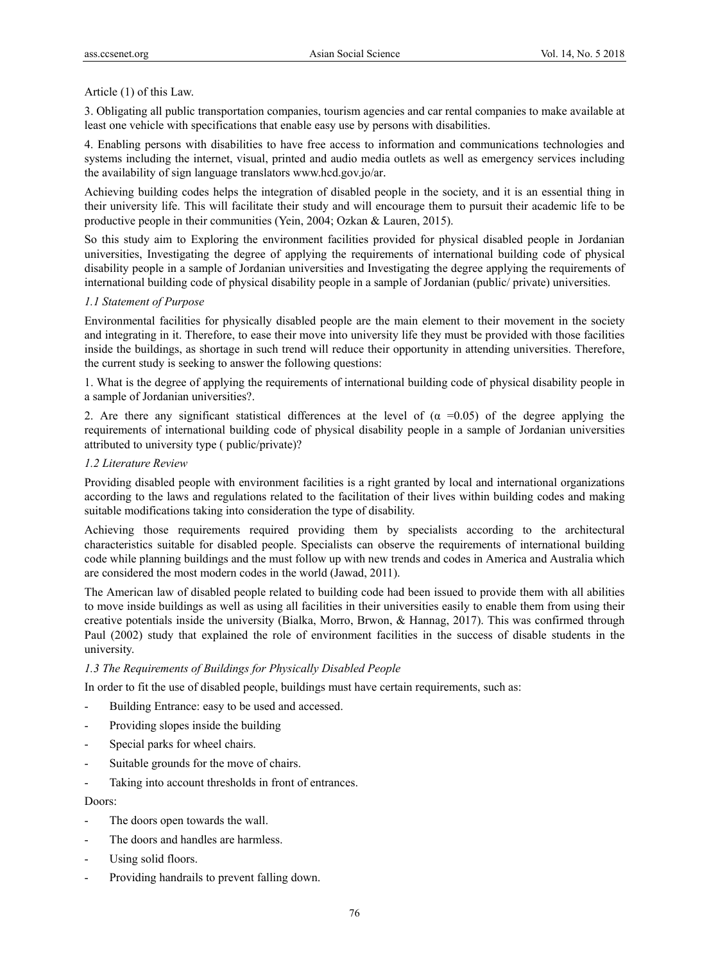#### Article (1) of this Law.

3. Obligating all public transportation companies, tourism agencies and car rental companies to make available at least one vehicle with specifications that enable easy use by persons with disabilities.

4. Enabling persons with disabilities to have free access to information and communications technologies and systems including the internet, visual, printed and audio media outlets as well as emergency services including the availability of sign language translators www.hcd.gov.jo/ar.

Achieving building codes helps the integration of disabled people in the society, and it is an essential thing in their university life. This will facilitate their study and will encourage them to pursuit their academic life to be productive people in their communities (Yein, 2004; Ozkan & Lauren, 2015).

So this study aim to Exploring the environment facilities provided for physical disabled people in Jordanian universities, Investigating the degree of applying the requirements of international building code of physical disability people in a sample of Jordanian universities and Investigating the degree applying the requirements of international building code of physical disability people in a sample of Jordanian (public/ private) universities.

## *1.1 Statement of Purpose*

Environmental facilities for physically disabled people are the main element to their movement in the society and integrating in it. Therefore, to ease their move into university life they must be provided with those facilities inside the buildings, as shortage in such trend will reduce their opportunity in attending universities. Therefore, the current study is seeking to answer the following questions:

1. What is the degree of applying the requirements of international building code of physical disability people in a sample of Jordanian universities?.

2. Are there any significant statistical differences at the level of  $(\alpha = 0.05)$  of the degree applying the requirements of international building code of physical disability people in a sample of Jordanian universities attributed to university type ( public/private)?

## *1.2 Literature Review*

Providing disabled people with environment facilities is a right granted by local and international organizations according to the laws and regulations related to the facilitation of their lives within building codes and making suitable modifications taking into consideration the type of disability.

Achieving those requirements required providing them by specialists according to the architectural characteristics suitable for disabled people. Specialists can observe the requirements of international building code while planning buildings and the must follow up with new trends and codes in America and Australia which are considered the most modern codes in the world (Jawad, 2011).

The American law of disabled people related to building code had been issued to provide them with all abilities to move inside buildings as well as using all facilities in their universities easily to enable them from using their creative potentials inside the university (Bialka, Morro, Brwon, & Hannag, 2017). This was confirmed through Paul (2002) study that explained the role of environment facilities in the success of disable students in the university.

## *1.3 The Requirements of Buildings for Physically Disabled People*

In order to fit the use of disabled people, buildings must have certain requirements, such as:

- Building Entrance: easy to be used and accessed.
- Providing slopes inside the building
- Special parks for wheel chairs.
- Suitable grounds for the move of chairs.
- Taking into account thresholds in front of entrances.

#### Doors:

- The doors open towards the wall.
- The doors and handles are harmless.
- Using solid floors.
- Providing handrails to prevent falling down.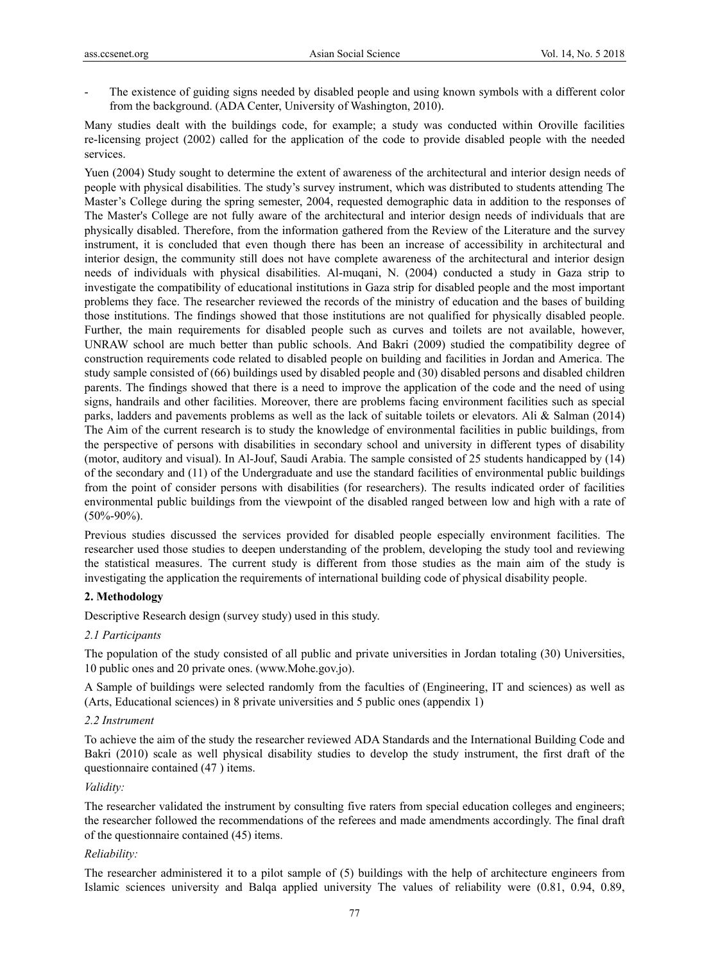The existence of guiding signs needed by disabled people and using known symbols with a different color from the background. (ADA Center, University of Washington, 2010).

Many studies dealt with the buildings code, for example; a study was conducted within Oroville facilities re-licensing project (2002) called for the application of the code to provide disabled people with the needed services.

Yuen (2004) Study sought to determine the extent of awareness of the architectural and interior design needs of people with physical disabilities. The study's survey instrument, which was distributed to students attending The Master's College during the spring semester, 2004, requested demographic data in addition to the responses of The Master's College are not fully aware of the architectural and interior design needs of individuals that are physically disabled. Therefore, from the information gathered from the Review of the Literature and the survey instrument, it is concluded that even though there has been an increase of accessibility in architectural and interior design, the community still does not have complete awareness of the architectural and interior design needs of individuals with physical disabilities. Al-muqani, N. (2004) conducted a study in Gaza strip to investigate the compatibility of educational institutions in Gaza strip for disabled people and the most important problems they face. The researcher reviewed the records of the ministry of education and the bases of building those institutions. The findings showed that those institutions are not qualified for physically disabled people. Further, the main requirements for disabled people such as curves and toilets are not available, however, UNRAW school are much better than public schools. And Bakri (2009) studied the compatibility degree of construction requirements code related to disabled people on building and facilities in Jordan and America. The study sample consisted of (66) buildings used by disabled people and (30) disabled persons and disabled children parents. The findings showed that there is a need to improve the application of the code and the need of using signs, handrails and other facilities. Moreover, there are problems facing environment facilities such as special parks, ladders and pavements problems as well as the lack of suitable toilets or elevators. Ali & Salman (2014) The Aim of the current research is to study the knowledge of environmental facilities in public buildings, from the perspective of persons with disabilities in secondary school and university in different types of disability (motor, auditory and visual). In Al-Jouf, Saudi Arabia. The sample consisted of 25 students handicapped by (14) of the secondary and (11) of the Undergraduate and use the standard facilities of environmental public buildings from the point of consider persons with disabilities (for researchers). The results indicated order of facilities environmental public buildings from the viewpoint of the disabled ranged between low and high with a rate of  $(50\% - 90\%)$ .

Previous studies discussed the services provided for disabled people especially environment facilities. The researcher used those studies to deepen understanding of the problem, developing the study tool and reviewing the statistical measures. The current study is different from those studies as the main aim of the study is investigating the application the requirements of international building code of physical disability people.

## **2. Methodology**

Descriptive Research design (survey study) used in this study.

#### *2.1 Participants*

The population of the study consisted of all public and private universities in Jordan totaling (30) Universities, 10 public ones and 20 private ones. (www.Mohe.gov.jo).

A Sample of buildings were selected randomly from the faculties of (Engineering, IT and sciences) as well as (Arts, Educational sciences) in 8 private universities and 5 public ones (appendix 1)

#### *2.2 Instrument*

To achieve the aim of the study the researcher reviewed ADA Standards and the International Building Code and Bakri (2010) scale as well physical disability studies to develop the study instrument, the first draft of the questionnaire contained (47 ) items.

#### *Validity:*

The researcher validated the instrument by consulting five raters from special education colleges and engineers; the researcher followed the recommendations of the referees and made amendments accordingly. The final draft of the questionnaire contained (45) items.

## *Reliability:*

The researcher administered it to a pilot sample of (5) buildings with the help of architecture engineers from Islamic sciences university and Balqa applied university The values of reliability were (0.81, 0.94, 0.89,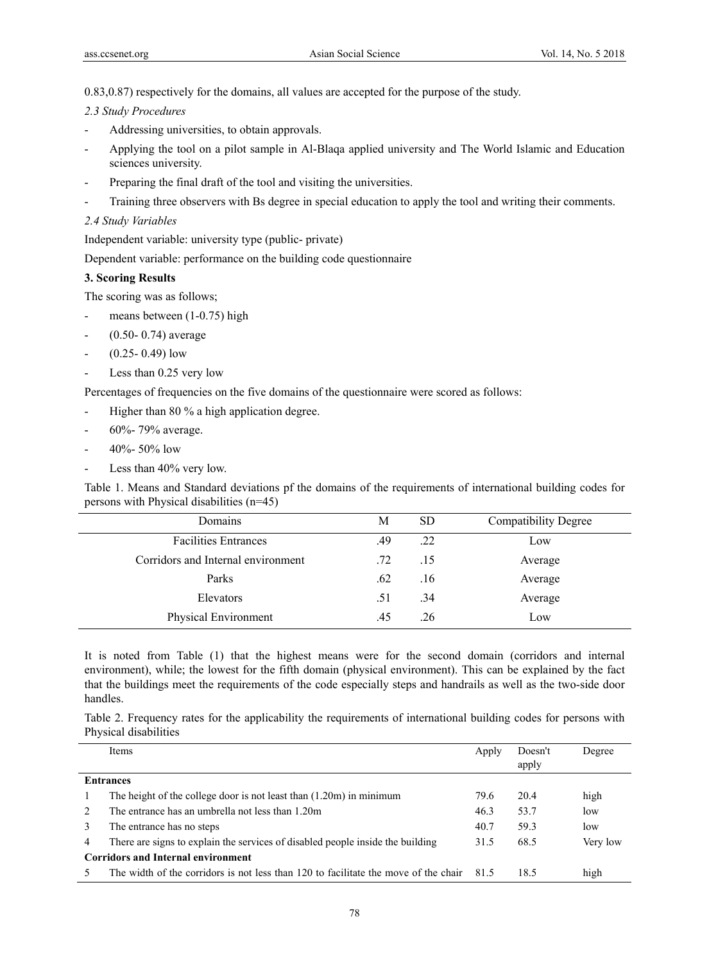0.83,0.87) respectively for the domains, all values are accepted for the purpose of the study.

## *2.3 Study Procedures*

- Addressing universities, to obtain approvals.
- Applying the tool on a pilot sample in Al-Blaqa applied university and The World Islamic and Education sciences university.
- Preparing the final draft of the tool and visiting the universities.
- Training three observers with Bs degree in special education to apply the tool and writing their comments.

## *2.4 Study Variables*

Independent variable: university type (public- private)

Dependent variable: performance on the building code questionnaire

## **3. Scoring Results**

The scoring was as follows;

- means between  $(1-0.75)$  high
- $(0.50 0.74)$  average
- $-$  (0.25- 0.49) low
- Less than 0.25 very low

Percentages of frequencies on the five domains of the questionnaire were scored as follows:

- Higher than 80 % a high application degree.
- 60%- 79% average.
- 40%- 50% low
- Less than 40% very low.

Table 1. Means and Standard deviations pf the domains of the requirements of international building codes for persons with Physical disabilities (n=45)

| Domains                            | М   | <b>SD</b> | <b>Compatibility Degree</b> |
|------------------------------------|-----|-----------|-----------------------------|
| <b>Facilities Entrances</b>        | .49 | .22       | Low                         |
| Corridors and Internal environment | .72 | .15       | Average                     |
| Parks                              | .62 | .16       | Average                     |
| Elevators                          | .51 | .34       | Average                     |
| Physical Environment               | .45 | .26       | Low                         |
|                                    |     |           |                             |

It is noted from Table (1) that the highest means were for the second domain (corridors and internal environment), while; the lowest for the fifth domain (physical environment). This can be explained by the fact that the buildings meet the requirements of the code especially steps and handrails as well as the two-side door handles.

Table 2. Frequency rates for the applicability the requirements of international building codes for persons with Physical disabilities

|                               | <b>Items</b>                                                                        | Apply | Doesn't | Degree   |  |  |
|-------------------------------|-------------------------------------------------------------------------------------|-------|---------|----------|--|--|
|                               |                                                                                     |       | apply   |          |  |  |
|                               | <b>Entrances</b>                                                                    |       |         |          |  |  |
|                               | The height of the college door is not least than $(1.20m)$ in minimum               | 79.6  | 20.4    | high     |  |  |
| $\mathfrak{D}_{\mathfrak{p}}$ | The entrance has an umbrella not less than 1.20m                                    | 46.3  | 53.7    | low      |  |  |
| 3                             | The entrance has no steps                                                           | 40.7  | 59.3    | low      |  |  |
| $\overline{4}$                | There are signs to explain the services of disabled people inside the building      | 31.5  | 68.5    | Very low |  |  |
|                               | <b>Corridors and Internal environment</b>                                           |       |         |          |  |  |
|                               | The width of the corridors is not less than 120 to facilitate the move of the chair | 815   | 18.5    | high     |  |  |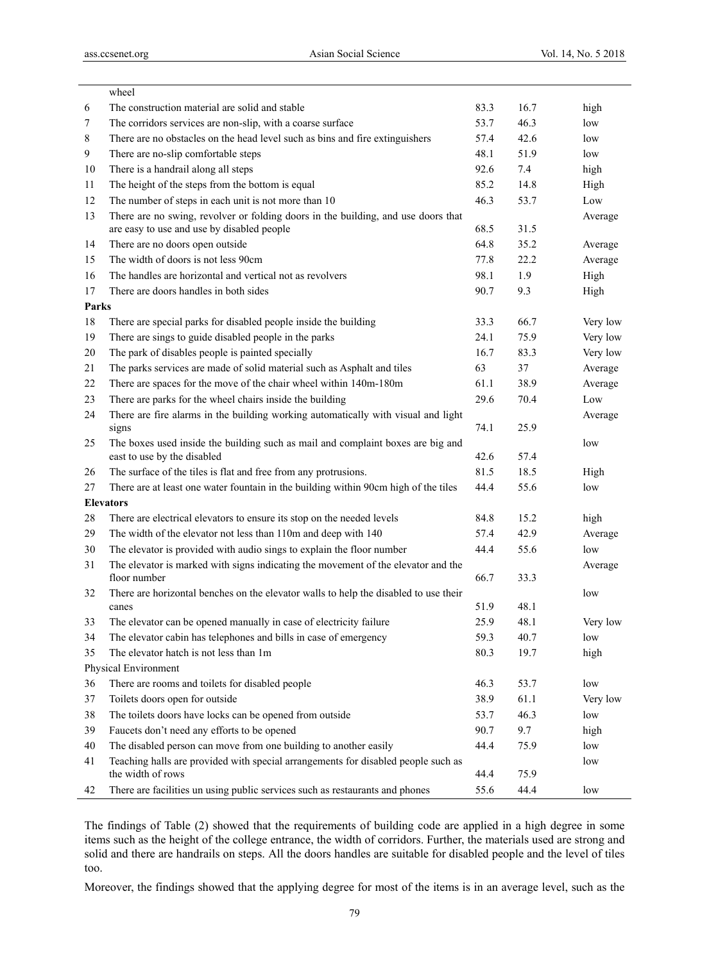|       | wheel                                                                                             |      |      |          |
|-------|---------------------------------------------------------------------------------------------------|------|------|----------|
| 6     | The construction material are solid and stable                                                    | 83.3 | 16.7 | high     |
| 7     | The corridors services are non-slip, with a coarse surface                                        | 53.7 | 46.3 | low      |
| 8     | There are no obstacles on the head level such as bins and fire extinguishers                      | 57.4 | 42.6 | low      |
| 9     | There are no-slip comfortable steps                                                               | 48.1 | 51.9 | low      |
| 10    | There is a handrail along all steps                                                               | 92.6 | 7.4  | high     |
| 11    | The height of the steps from the bottom is equal                                                  | 85.2 | 14.8 | High     |
| 12    | The number of steps in each unit is not more than 10                                              | 46.3 | 53.7 | Low      |
| 13    | There are no swing, revolver or folding doors in the building, and use doors that                 |      |      | Average  |
|       | are easy to use and use by disabled people                                                        | 68.5 | 31.5 |          |
| 14    | There are no doors open outside                                                                   | 64.8 | 35.2 | Average  |
| 15    | The width of doors is not less 90cm                                                               | 77.8 | 22.2 | Average  |
| 16    | The handles are horizontal and vertical not as revolvers                                          | 98.1 | 1.9  | High     |
| 17    | There are doors handles in both sides                                                             | 90.7 | 9.3  | High     |
| Parks |                                                                                                   |      |      |          |
| 18    | There are special parks for disabled people inside the building                                   | 33.3 | 66.7 | Very low |
| 19    | There are sings to guide disabled people in the parks                                             | 24.1 | 75.9 | Very low |
| 20    | The park of disables people is painted specially                                                  | 16.7 | 83.3 | Very low |
| 21    | The parks services are made of solid material such as Asphalt and tiles                           | 63   | 37   | Average  |
| 22    | There are spaces for the move of the chair wheel within 140m-180m                                 | 61.1 | 38.9 | Average  |
| 23    | There are parks for the wheel chairs inside the building                                          | 29.6 | 70.4 | Low      |
| 24    | There are fire alarms in the building working automatically with visual and light                 |      |      | Average  |
|       | signs                                                                                             | 74.1 | 25.9 |          |
| 25    | The boxes used inside the building such as mail and complaint boxes are big and                   |      |      | low      |
|       | east to use by the disabled                                                                       | 42.6 | 57.4 |          |
| 26    | The surface of the tiles is flat and free from any protrusions.                                   | 81.5 | 18.5 | High     |
| 27    | There are at least one water fountain in the building within 90cm high of the tiles               | 44.4 | 55.6 | low      |
|       | <b>Elevators</b>                                                                                  |      |      |          |
| 28    | There are electrical elevators to ensure its stop on the needed levels                            | 84.8 | 15.2 | high     |
| 29    | The width of the elevator not less than 110m and deep with 140                                    | 57.4 | 42.9 | Average  |
| 30    | The elevator is provided with audio sings to explain the floor number                             | 44.4 | 55.6 | low      |
| 31    | The elevator is marked with signs indicating the movement of the elevator and the<br>floor number |      | 33.3 | Average  |
|       |                                                                                                   | 66.7 |      |          |
| 32    | There are horizontal benches on the elevator walls to help the disabled to use their<br>canes     | 51.9 | 48.1 | low      |
| 33    | The elevator can be opened manually in case of electricity failure                                | 25.9 | 48.1 | Very low |
| 34    | The elevator cabin has telephones and bills in case of emergency                                  | 59.3 | 40.7 | low      |
| 35    | The elevator hatch is not less than 1m                                                            | 80.3 | 19.7 | high     |
|       | Physical Environment                                                                              |      |      |          |
| 36    | There are rooms and toilets for disabled people                                                   | 46.3 | 53.7 | low      |
| 37    | Toilets doors open for outside                                                                    | 38.9 | 61.1 | Very low |
| 38    | The toilets doors have locks can be opened from outside                                           | 53.7 | 46.3 | low      |
| 39    | Faucets don't need any efforts to be opened                                                       | 90.7 | 9.7  | high     |
| 40    | The disabled person can move from one building to another easily                                  | 44.4 | 75.9 | low      |
| 41    | Teaching halls are provided with special arrangements for disabled people such as                 |      |      | low      |
|       | the width of rows                                                                                 | 44.4 | 75.9 |          |
| 42    | There are facilities un using public services such as restaurants and phones                      | 55.6 | 44.4 | low      |
|       |                                                                                                   |      |      |          |

The findings of Table (2) showed that the requirements of building code are applied in a high degree in some items such as the height of the college entrance, the width of corridors. Further, the materials used are strong and solid and there are handrails on steps. All the doors handles are suitable for disabled people and the level of tiles too.

Moreover, the findings showed that the applying degree for most of the items is in an average level, such as the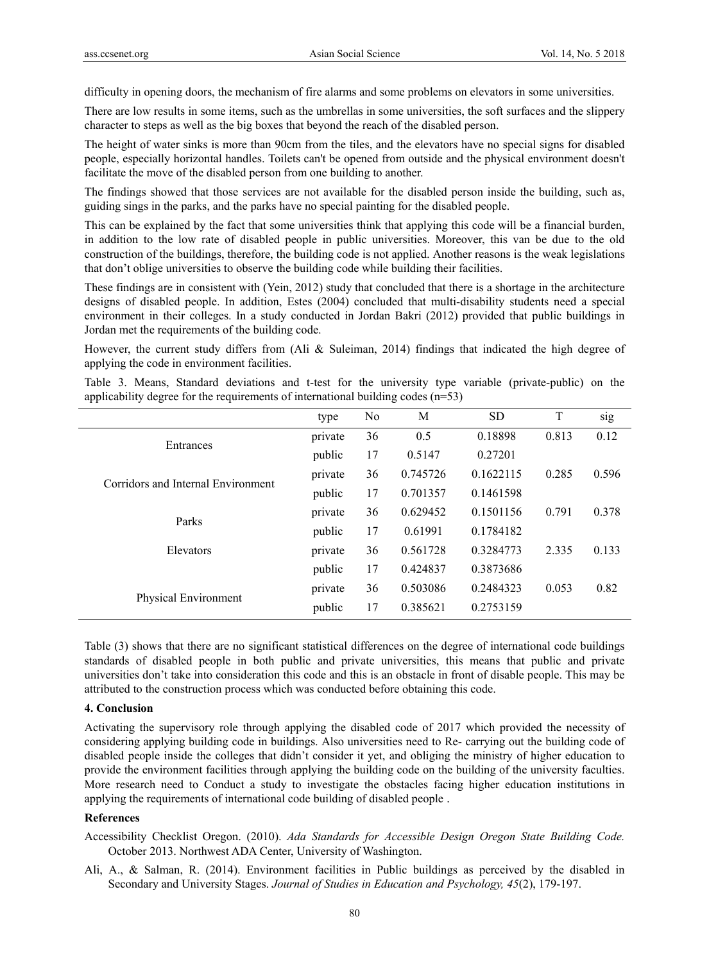difficulty in opening doors, the mechanism of fire alarms and some problems on elevators in some universities.

There are low results in some items, such as the umbrellas in some universities, the soft surfaces and the slippery character to steps as well as the big boxes that beyond the reach of the disabled person.

The height of water sinks is more than 90cm from the tiles, and the elevators have no special signs for disabled people, especially horizontal handles. Toilets can't be opened from outside and the physical environment doesn't facilitate the move of the disabled person from one building to another.

The findings showed that those services are not available for the disabled person inside the building, such as, guiding sings in the parks, and the parks have no special painting for the disabled people.

This can be explained by the fact that some universities think that applying this code will be a financial burden, in addition to the low rate of disabled people in public universities. Moreover, this van be due to the old construction of the buildings, therefore, the building code is not applied. Another reasons is the weak legislations that don't oblige universities to observe the building code while building their facilities.

These findings are in consistent with (Yein, 2012) study that concluded that there is a shortage in the architecture designs of disabled people. In addition, Estes (2004) concluded that multi-disability students need a special environment in their colleges. In a study conducted in Jordan Bakri (2012) provided that public buildings in Jordan met the requirements of the building code.

However, the current study differs from (Ali & Suleiman, 2014) findings that indicated the high degree of applying the code in environment facilities.

Table 3. Means, Standard deviations and t-test for the university type variable (private-public) on the applicability degree for the requirements of international building codes (n=53)

|                                    | type    | No | M        | <b>SD</b> | T     | sig   |
|------------------------------------|---------|----|----------|-----------|-------|-------|
| Entrances                          | private | 36 | 0.5      | 0.18898   | 0.813 | 0.12  |
|                                    | public  | 17 | 0.5147   | 0.27201   |       |       |
| Corridors and Internal Environment | private | 36 | 0.745726 | 0.1622115 | 0.285 | 0.596 |
|                                    | public  | 17 | 0.701357 | 0.1461598 |       |       |
| Parks                              | private | 36 | 0.629452 | 0.1501156 | 0.791 | 0.378 |
|                                    | public  | 17 | 0.61991  | 0.1784182 |       |       |
| Elevators                          | private | 36 | 0.561728 | 0.3284773 | 2.335 | 0.133 |
|                                    | public  | 17 | 0.424837 | 0.3873686 |       |       |
|                                    | private | 36 | 0.503086 | 0.2484323 | 0.053 | 0.82  |
| Physical Environment               | public  | 17 | 0.385621 | 0.2753159 |       |       |

Table (3) shows that there are no significant statistical differences on the degree of international code buildings standards of disabled people in both public and private universities, this means that public and private universities don't take into consideration this code and this is an obstacle in front of disable people. This may be attributed to the construction process which was conducted before obtaining this code.

## **4. Conclusion**

Activating the supervisory role through applying the disabled code of 2017 which provided the necessity of considering applying building code in buildings. Also universities need to Re- carrying out the building code of disabled people inside the colleges that didn't consider it yet, and obliging the ministry of higher education to provide the environment facilities through applying the building code on the building of the university faculties. More research need to Conduct a study to investigate the obstacles facing higher education institutions in applying the requirements of international code building of disabled people .

## **References**

Accessibility Checklist Oregon. (2010). *Ada Standards for Accessible Design Oregon State Building Code.* October 2013. Northwest ADA Center, University of Washington.

Ali, A., & Salman, R. (2014). Environment facilities in Public buildings as perceived by the disabled in Secondary and University Stages. *Journal of Studies in Education and Psychology, 45*(2), 179-197.